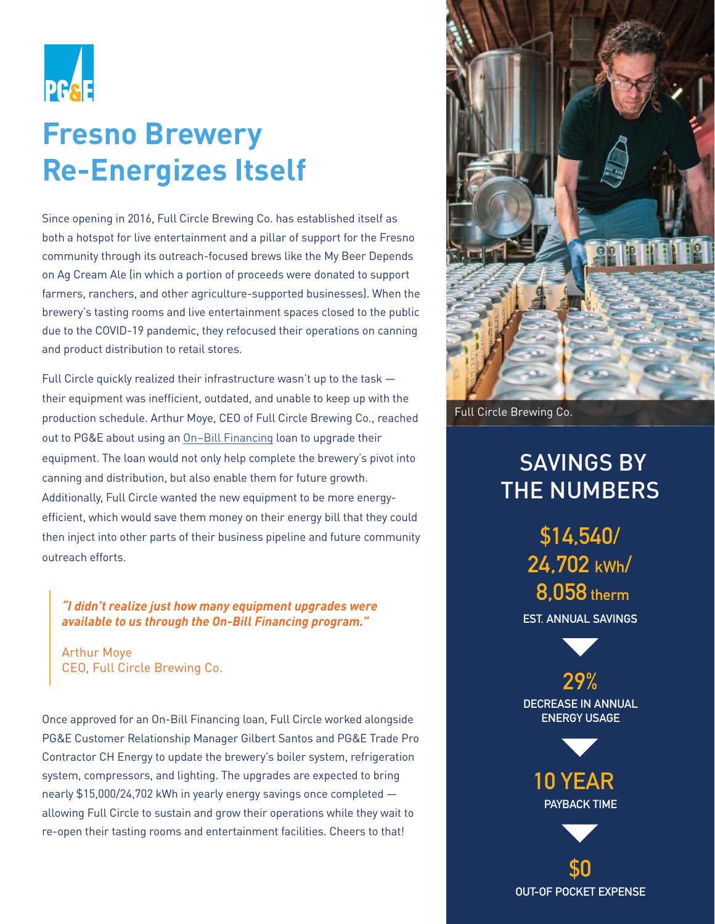

# **Fresno Brewery Re-Energizes Itself**

Since opening in 2016, Full Circle Brewing Co. has established itself as both a hotspot for live entertainment and a pillar of support for the Fresno community through its outreach-focused brews like the My Beer Depends on Ag Cream Ale (in which a portion of proceeds were donated to support farmers, ranchers, and other agriculture-supported businesses). When the brewery's tasting rooms and live entertainment spaces closed to the public due to the COVID-19 pandemic, they refocused their operations on canning and product distribution to retail stores.

Full Circle quickly realized their infrastructure wasn't up to the task their equipment was inefficient, outdated, and unable to keep up with the production schedule. Arthur Moye, CEO of Full Circle Brewing Co., reached out to PG&E about using an On–Bill Financing loan to upgrade their equipment. The loan would not only help complete the brewery's pivot into canning and distribution, but also enable them for future growth. Additionally, Full Circle wanted the new equipment to be more energyefficient, which would save them money on their energy bill that they could then inject into other parts of their business pipeline and future community outreach efforts.

*"I didn't realize just how many equipment upgrades were available to us through the On-Bill Financing program."*

Arthur Moye CEO, Full Circle Brewing Co.

Once approved for an On-Bill Financing loan, Full Circle worked alongside PG&E Customer Relationship Manager Gilbert Santos and PG&E Trade Pro Contractor CH Energy to update the brewery's boiler system, refrigeration system, compressors, and lighting. The upgrades are expected to bring nearly \$15,000/24,702 kWh in yearly energy savings once completed allowing Full Circle to sustain and grow their operations while they wait to re-open their tasting rooms and entertainment facilities. Cheers to that!



Full Circle Brewing Co.

### SAVINGS BY THE NUMBERS

**\$14,540/ 24,702 kWh/ 8,058 therm**

**EST. ANNUAL SAVINGS**

**29% DECREASE IN ANNUAL ENERGY USAGE**



**\$0 OUT-OF POCKET EXPENSE**